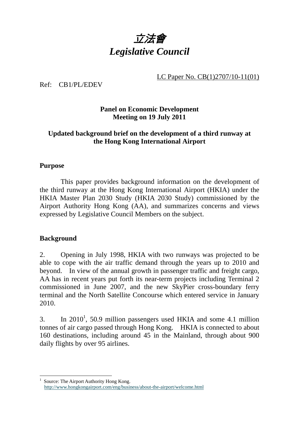# 立法會 *Legislative Council*

LC Paper No. CB(1)2707/10-11(01)

Ref: CB1/PL/EDEV

## **Panel on Economic Development Meeting on 19 July 2011**

## **Updated background brief on the development of a third runway at the Hong Kong International Airport**

#### **Purpose**

 This paper provides background information on the development of the third runway at the Hong Kong International Airport (HKIA) under the HKIA Master Plan 2030 Study (HKIA 2030 Study) commissioned by the Airport Authority Hong Kong (AA), and summarizes concerns and views expressed by Legislative Council Members on the subject.

#### **Background**

2. Opening in July 1998, HKIA with two runways was projected to be able to cope with the air traffic demand through the years up to 2010 and beyond. In view of the annual growth in passenger traffic and freight cargo, AA has in recent years put forth its near-term projects including Terminal 2 commissioned in June 2007, and the new SkyPier cross-boundary ferry terminal and the North Satellite Concourse which entered service in January 2010.

3. In 2010<sup>1</sup>, 50.9 million passengers used HKIA and some 4.1 million tonnes of air cargo passed through Hong Kong. HKIA is connected to about 160 destinations, including around 45 in the Mainland, through about 900 daily flights by over 95 airlines.

<sup>1</sup> 1 Source: The Airport Authority Hong Kong. http://www.hongkongairport.com/eng/business/about-the-airport/welcome.html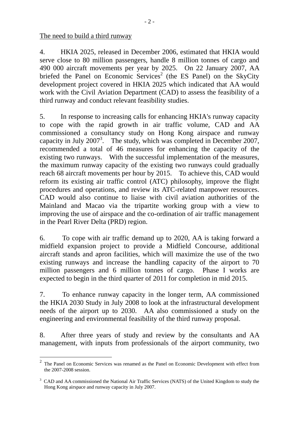The need to build a third runway

1

4. HKIA 2025, released in December 2006, estimated that HKIA would serve close to 80 million passengers, handle 8 million tonnes of cargo and 490 000 aircraft movements per year by 2025. On 22 January 2007, AA briefed the Panel on Economic Services<sup>2</sup> (the ES Panel) on the SkyCity development project covered in HKIA 2025 which indicated that AA would work with the Civil Aviation Department (CAD) to assess the feasibility of a third runway and conduct relevant feasibility studies.

5. In response to increasing calls for enhancing HKIA's runway capacity to cope with the rapid growth in air traffic volume, CAD and AA commissioned a consultancy study on Hong Kong airspace and runway capacity in July  $2007<sup>3</sup>$ . The study, which was completed in December 2007, recommended a total of 46 measures for enhancing the capacity of the existing two runways. With the successful implementation of the measures, the maximum runway capacity of the existing two runways could gradually reach 68 aircraft movements per hour by 2015. To achieve this, CAD would reform its existing air traffic control (ATC) philosophy, improve the flight procedures and operations, and review its ATC-related manpower resources. CAD would also continue to liaise with civil aviation authorities of the Mainland and Macao via the tripartite working group with a view to improving the use of airspace and the co-ordination of air traffic management in the Pearl River Delta (PRD) region.

6. To cope with air traffic demand up to 2020, AA is taking forward a midfield expansion project to provide a Midfield Concourse, additional aircraft stands and apron facilities, which will maximize the use of the two existing runways and increase the handling capacity of the airport to 70 million passengers and 6 million tonnes of cargo. Phase I works are expected to begin in the third quarter of 2011 for completion in mid 2015.

7. To enhance runway capacity in the longer term, AA commissioned the HKIA 2030 Study in July 2008 to look at the infrastructural development needs of the airport up to 2030. AA also commissioned a study on the engineering and environmental feasibility of the third runway proposal.

8. After three years of study and review by the consultants and AA management, with inputs from professionals of the airport community, two

 $2\degree$  The Panel on Economic Services was renamed as the Panel on Economic Development with effect from the 2007-2008 session.

<sup>&</sup>lt;sup>3</sup> CAD and AA commissioned the National Air Traffic Services (NATS) of the United Kingdom to study the Hong Kong airspace and runway capacity in July 2007.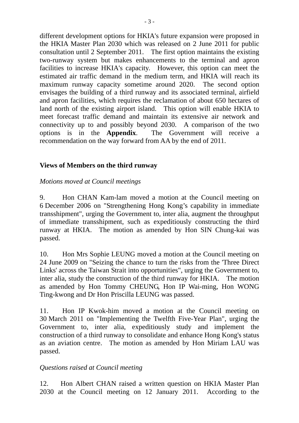different development options for HKIA's future expansion were proposed in the HKIA Master Plan 2030 which was released on 2 June 2011 for public consultation until 2 September 2011. The first option maintains the existing two-runway system but makes enhancements to the terminal and apron facilities to increase HKIA's capacity. However, this option can meet the estimated air traffic demand in the medium term, and HKIA will reach its maximum runway capacity sometime around 2020. The second option envisages the building of a third runway and its associated terminal, airfield and apron facilities, which requires the reclamation of about 650 hectares of land north of the existing airport island. This option will enable HKIA to meet forecast traffic demand and maintain its extensive air network and connectivity up to and possibly beyond 2030. A comparison of the two options is in the **Appendix**. The Government will receive a recommendation on the way forward from AA by the end of 2011.

### **Views of Members on the third runway**

#### *Motions moved at Council meetings*

9. Hon CHAN Kam-lam moved a motion at the Council meeting on 6 December 2006 on "Strengthening Hong Kong's capability in immediate transshipment", urging the Government to, inter alia, augment the throughput of immediate transshipment, such as expeditiously constructing the third runway at HKIA. The motion as amended by Hon SIN Chung-kai was passed.

10. Hon Mrs Sophie LEUNG moved a motion at the Council meeting on 24 June 2009 on "Seizing the chance to turn the risks from the 'Three Direct Links' across the Taiwan Strait into opportunities", urging the Government to, inter alia, study the construction of the third runway for HKIA. The motion as amended by Hon Tommy CHEUNG, Hon IP Wai-ming, Hon WONG Ting-kwong and Dr Hon Priscilla LEUNG was passed.

11. Hon IP Kwok-him moved a motion at the Council meeting on 30 March 2011 on "Implementing the Twelfth Five-Year Plan", urging the Government to, inter alia, expeditiously study and implement the construction of a third runway to consolidate and enhance Hong Kong's status as an aviation centre. The motion as amended by Hon Miriam LAU was passed.

#### *Questions raised at Council meeting*

12. Hon Albert CHAN raised a written question on HKIA Master Plan 2030 at the Council meeting on 12 January 2011. According to the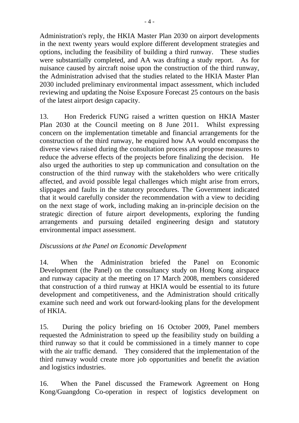Administration's reply, the HKIA Master Plan 2030 on airport developments in the next twenty years would explore different development strategies and options, including the feasibility of building a third runway. These studies were substantially completed, and AA was drafting a study report. As for nuisance caused by aircraft noise upon the construction of the third runway, the Administration advised that the studies related to the HKIA Master Plan 2030 included preliminary environmental impact assessment, which included reviewing and updating the Noise Exposure Forecast 25 contours on the basis of the latest airport design capacity.

13. Hon Frederick FUNG raised a written question on HKIA Master Plan 2030 at the Council meeting on 8 June 2011. Whilst expressing concern on the implementation timetable and financial arrangements for the construction of the third runway, he enquired how AA would encompass the diverse views raised during the consultation process and propose measures to reduce the adverse effects of the projects before finalizing the decision. He also urged the authorities to step up communication and consultation on the construction of the third runway with the stakeholders who were critically affected, and avoid possible legal challenges which might arise from errors, slippages and faults in the statutory procedures. The Government indicated that it would carefully consider the recommendation with a view to deciding on the next stage of work, including making an in-principle decision on the strategic direction of future airport developments, exploring the funding arrangements and pursuing detailed engineering design and statutory environmental impact assessment.

## *Discussions at the Panel on Economic Development*

14. When the Administration briefed the Panel on Economic Development (the Panel) on the consultancy study on Hong Kong airspace and runway capacity at the meeting on 17 March 2008, members considered that construction of a third runway at HKIA would be essential to its future development and competitiveness, and the Administration should critically examine such need and work out forward-looking plans for the development of HKIA.

15. During the policy briefing on 16 October 2009, Panel members requested the Administration to speed up the feasibility study on building a third runway so that it could be commissioned in a timely manner to cope with the air traffic demand. They considered that the implementation of the third runway would create more job opportunities and benefit the aviation and logistics industries.

16. When the Panel discussed the Framework Agreement on Hong Kong/Guangdong Co-operation in respect of logistics development on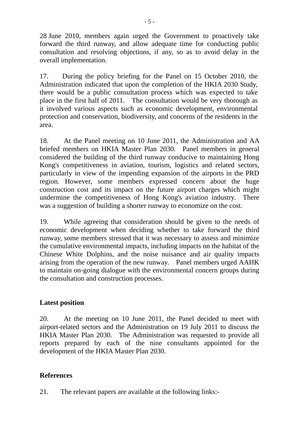28 June 2010, members again urged the Government to proactively take forward the third runway, and allow adequate time for conducting public consultation and resolving objections, if any, so as to avoid delay in the overall implementation.

17. During the policy briefing for the Panel on 15 October 2010, the Administration indicated that upon the completion of the HKIA 2030 Study, there would be a public consultation process which was expected to take place in the first half of 2011. The consultation would be very thorough as it involved various aspects such as economic development, environmental protection and conservation, biodiversity, and concerns of the residents in the area.

18. At the Panel meeting on 10 June 2011, the Administration and AA briefed members on HKIA Master Plan 2030. Panel members in general considered the building of the third runway conducive to maintaining Hong Kong's competitiveness in aviation, tourism, logistics and related sectors, particularly in view of the impending expansion of the airports in the PRD region. However, some members expressed concern about the huge construction cost and its impact on the future airport charges which might undermine the competitiveness of Hong Kong's aviation industry. There was a suggestion of building a shorter runway to economize on the cost.

19. While agreeing that consideration should be given to the needs of economic development when deciding whether to take forward the third runway, some members stressed that it was necessary to assess and minimize the cumulative environmental impacts, including impacts on the habitat of the Chinese White Dolphins, and the noise nuisance and air quality impacts arising from the operation of the new runway. Panel members urged AAHK to maintain on-going dialogue with the environmental concern groups during the consultation and construction processes.

## **Latest position**

20. At the meeting on 10 June 2011, the Panel decided to meet with airport-related sectors and the Administration on 19 July 2011 to discuss the HKIA Master Plan 2030. The Administration was requested to provide all reports prepared by each of the nine consultants appointed for the development of the HKIA Master Plan 2030.

#### **References**

21. The relevant papers are available at the following links:-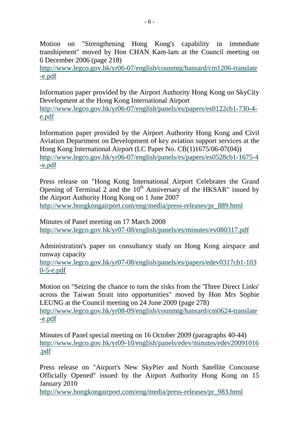- 6 -

Motion on "Strengthening Hong Kong's capability in immediate transhipment" moved by Hon CHAN Kam-lam at the Council meeting on 6 December 2006 (page 218)

http://www.legco.gov.hk/yr06-07/english/counmtg/hansard/cm1206-translate -e.pdf

Information paper provided by the Airport Authority Hong Kong on SkyCity Development at the Hong Kong International Airport http://www.legco.gov.hk/yr06-07/english/panels/es/papers/es0122cb1-730-4 e.pdf

Information paper provided by the Airport Authority Hong Kong and Civil Aviation Department on Development of key aviation support services at the Hong Kong International Airport (LC Paper No. CB(1)1675/06-07(04)) http://www.legco.gov.hk/yr06-07/english/panels/es/papers/es0528cb1-1675-4 -e.pdf

Press release on "Hong Kong International Airport Celebrates the Grand Opening of Terminal 2 and the  $10^{th}$  Anniversary of the HKSAR" issued by the Airport Authority Hong Kong on 1 June 2007 http://www.hongkongairport.com/eng/media/press-releases/pr\_889.html

Minutes of Panel meeting on 17 March 2008 http://www.legco.gov.hk/yr07-08/english/panels/es/minutes/ev080317.pdf

Administration's paper on consultancy study on Hong Kong airspace and runway capacity

http://www.legco.gov.hk/yr07-08/english/panels/es/papers/edev0317cb1-103 0-5-e.pdf

Motion on "Seizing the chance to turn the risks from the 'Three Direct Links' across the Taiwan Strait into opportunities" moved by Hon Mrs Sophie LEUNG at the Council meeting on 24 June 2009 (page 278) http://www.legco.gov.hk/yr08-09/english/counmtg/hansard/cm0624-translate -e.pdf

Minutes of Panel special meeting on 16 October 2009 (paragraphs 40-44) http://www.legco.gov.hk/yr09-10/english/panels/edev/minutes/edev20091016 .pdf

Press release on "Airport's New SkyPier and North Satellite Concourse Officially Opened" issued by the Airport Authority Hong Kong on 15 January 2010

http://www.hongkongairport.com/eng/media/press-releases/pr\_983.html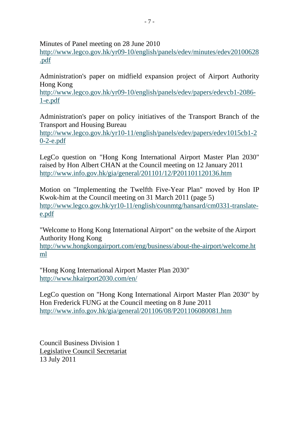Minutes of Panel meeting on 28 June 2010

http://www.legco.gov.hk/yr09-10/english/panels/edev/minutes/edev20100628 .pdf

Administration's paper on midfield expansion project of Airport Authority Hong Kong

http://www.legco.gov.hk/yr09-10/english/panels/edev/papers/edevcb1-2086- 1-e.pdf

Administration's paper on policy initiatives of the Transport Branch of the Transport and Housing Bureau

http://www.legco.gov.hk/yr10-11/english/panels/edev/papers/edev1015cb1-2 0-2-e.pdf

LegCo question on "Hong Kong International Airport Master Plan 2030" raised by Hon Albert CHAN at the Council meeting on 12 January 2011 http://www.info.gov.hk/gia/general/201101/12/P201101120136.htm

Motion on "Implementing the Twelfth Five-Year Plan" moved by Hon IP Kwok-him at the Council meeting on 31 March 2011 (page 5) http://www.legco.gov.hk/yr10-11/english/counmtg/hansard/cm0331-translatee.pdf

"Welcome to Hong Kong International Airport" on the website of the Airport Authority Hong Kong

http://www.hongkongairport.com/eng/business/about-the-airport/welcome.ht ml

"Hong Kong International Airport Master Plan 2030" http://www.hkairport2030.com/en/

LegCo question on "Hong Kong International Airport Master Plan 2030" by Hon Frederick FUNG at the Council meeting on 8 June 2011 http://www.info.gov.hk/gia/general/201106/08/P201106080081.htm

Council Business Division 1 Legislative Council Secretariat 13 July 2011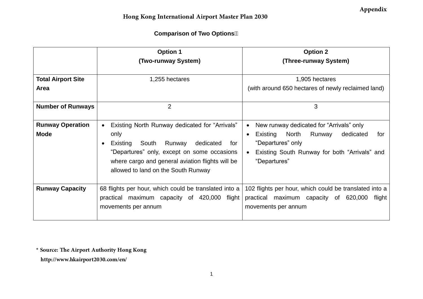## **Comparison of Two Options**

|                                        | <b>Option 1</b><br>(Two-runway System)                                                                                                                                                                                                              | <b>Option 2</b><br>(Three-runway System)                                                                                                                                                                 |
|----------------------------------------|-----------------------------------------------------------------------------------------------------------------------------------------------------------------------------------------------------------------------------------------------------|----------------------------------------------------------------------------------------------------------------------------------------------------------------------------------------------------------|
| <b>Total Airport Site</b><br>Area      | 1,255 hectares                                                                                                                                                                                                                                      | 1,905 hectares<br>(with around 650 hectares of newly reclaimed land)                                                                                                                                     |
| <b>Number of Runways</b>               | 2                                                                                                                                                                                                                                                   | 3                                                                                                                                                                                                        |
| <b>Runway Operation</b><br><b>Mode</b> | Existing North Runway dedicated for "Arrivals"<br>only<br>South<br>dedicated<br>Existing<br>Runway<br>for<br>"Departures" only, except on some occasions<br>where cargo and general aviation flights will be<br>allowed to land on the South Runway | New runway dedicated for "Arrivals" only<br>$\bullet$<br>Existing North<br>Runway<br>dedicated<br>for<br>$\bullet$<br>"Departures" only<br>Existing South Runway for both "Arrivals" and<br>"Departures" |
| <b>Runway Capacity</b>                 | 68 flights per hour, which could be translated into a<br>practical maximum capacity of 420,000 flight<br>movements per annum                                                                                                                        | 102 flights per hour, which could be translated into a<br>practical maximum capacity of 620,000<br>flight<br>movements per annum                                                                         |

**\* Source: The Airport Authority Hong Kong**

**http://www.hkairport2030.com/en/**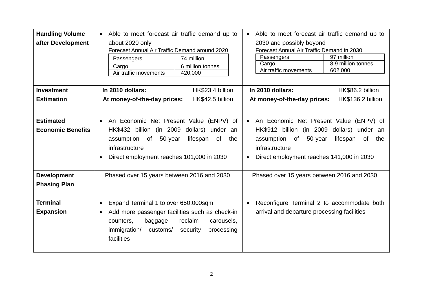| <b>Handling Volume</b>                       | Able to meet forecast air traffic demand up to                                                                                                                                                                                        | Able to meet forecast air traffic demand up to                                                                                                                                                                               |
|----------------------------------------------|---------------------------------------------------------------------------------------------------------------------------------------------------------------------------------------------------------------------------------------|------------------------------------------------------------------------------------------------------------------------------------------------------------------------------------------------------------------------------|
| after Development                            | about 2020 only<br>Forecast Annual Air Traffic Demand around 2020<br>Passengers<br>74 million<br>6 million tonnes<br>Cargo<br>Air traffic movements<br>420,000                                                                        | 2030 and possibly beyond<br>Forecast Annual Air Traffic Demand in 2030<br>97 million<br>Passengers<br>8.9 million tonnes<br>Cargo<br>Air traffic movements<br>602,000                                                        |
| <b>Investment</b>                            | HK\$23.4 billion<br>In 2010 dollars:                                                                                                                                                                                                  | In 2010 dollars:<br>HK\$86.2 billion                                                                                                                                                                                         |
| <b>Estimation</b>                            | At money-of-the-day prices:<br>HK\$42.5 billion                                                                                                                                                                                       | At money-of-the-day prices:<br>HK\$136.2 billion                                                                                                                                                                             |
| <b>Estimated</b><br><b>Economic Benefits</b> | An Economic Net Present Value (ENPV) of<br>$\bullet$<br>HK\$432 billion (in 2009 dollars) under an<br>50-year<br>assumption of<br>lifespan<br>of<br>the<br>infrastructure<br>Direct employment reaches 101,000 in 2030<br>$\bullet$   | An Economic Net Present Value (ENPV) of<br>$\bullet$<br>HK\$912 billion (in 2009<br>dollars) under an<br>assumption<br>of<br>50-year<br>lifespan<br>of<br>the<br>infrastructure<br>Direct employment reaches 141,000 in 2030 |
| <b>Development</b><br><b>Phasing Plan</b>    | Phased over 15 years between 2016 and 2030                                                                                                                                                                                            | Phased over 15 years between 2016 and 2030                                                                                                                                                                                   |
| <b>Terminal</b><br><b>Expansion</b>          | Expand Terminal 1 to over 650,000sqm<br>$\bullet$<br>Add more passenger facilities such as check-in<br>$\bullet$<br>reclaim<br>counters,<br>carousels,<br>baggage<br>immigration/<br>customs/<br>security<br>processing<br>facilities | Reconfigure Terminal 2 to accommodate both<br>$\bullet$<br>arrival and departure processing facilities                                                                                                                       |